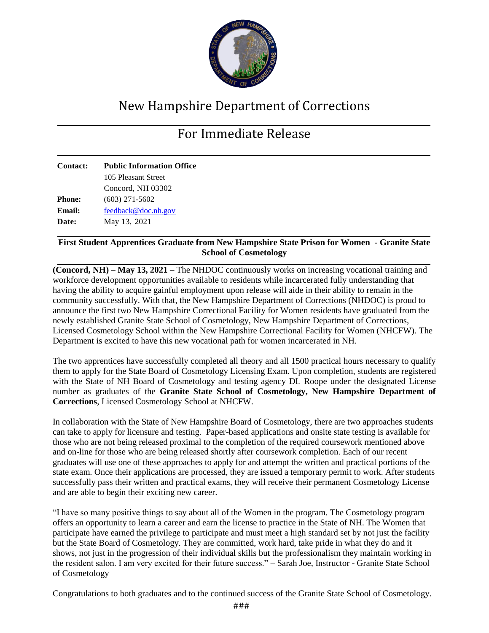

## New Hampshire Department of Corrections

## For Immediate Release

| <b>Public Information Office</b> |
|----------------------------------|
| 105 Pleasant Street              |
| Concord, NH 03302                |
| $(603)$ 271-5602                 |
| feedback@doc.nh.gov              |
| May 13, 2021                     |
|                                  |

## **First Student Apprentices Graduate from New Hampshire State Prison for Women - Granite State School of Cosmetology**

**(Concord, NH) – May 13, 2021 –** The NHDOC continuously works on increasing vocational training and workforce development opportunities available to residents while incarcerated fully understanding that having the ability to acquire gainful employment upon release will aide in their ability to remain in the community successfully. With that, the New Hampshire Department of Corrections (NHDOC) is proud to announce the first two New Hampshire Correctional Facility for Women residents have graduated from the newly established Granite State School of Cosmetology, New Hampshire Department of Corrections, Licensed Cosmetology School within the New Hampshire Correctional Facility for Women (NHCFW). The Department is excited to have this new vocational path for women incarcerated in NH.

The two apprentices have successfully completed all theory and all 1500 practical hours necessary to qualify them to apply for the State Board of Cosmetology Licensing Exam. Upon completion, students are registered with the State of NH Board of Cosmetology and testing agency DL Roope under the designated License number as graduates of the **Granite State School of Cosmetology, New Hampshire Department of Corrections**, Licensed Cosmetology School at NHCFW.

In collaboration with the State of New Hampshire Board of Cosmetology, there are two approaches students can take to apply for licensure and testing. Paper-based applications and onsite state testing is available for those who are not being released proximal to the completion of the required coursework mentioned above and on-line for those who are being released shortly after coursework completion. Each of our recent graduates will use one of these approaches to apply for and attempt the written and practical portions of the state exam. Once their applications are processed, they are issued a temporary permit to work. After students successfully pass their written and practical exams, they will receive their permanent Cosmetology License and are able to begin their exciting new career.

"I have so many positive things to say about all of the Women in the program. The Cosmetology program offers an opportunity to learn a career and earn the license to practice in the State of NH. The Women that participate have earned the privilege to participate and must meet a high standard set by not just the facility but the State Board of Cosmetology. They are committed, work hard, take pride in what they do and it shows, not just in the progression of their individual skills but the professionalism they maintain working in the resident salon. I am very excited for their future success." – Sarah Joe, Instructor - Granite State School of Cosmetology

Congratulations to both graduates and to the continued success of the Granite State School of Cosmetology.